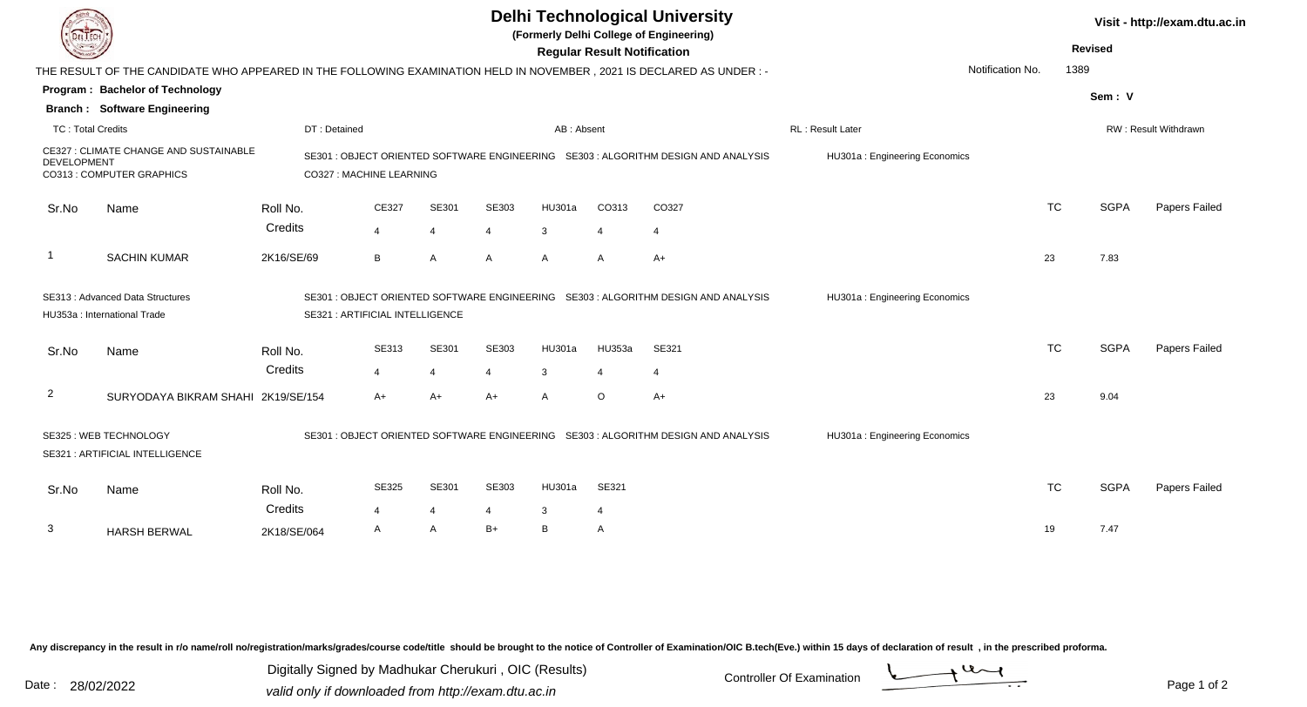| <b>DELTECH</b>                                                                                                                                        |                                     | <b>Delhi Technological University</b><br>(Formerly Delhi College of Engineering)<br><b>Regular Result Notification</b><br>Notification No.<br>THE RESULT OF THE CANDIDATE WHO APPEARED IN THE FOLLOWING EXAMINATION HELD IN NOVEMBER, 2021 IS DECLARED AS UNDER:- |                |                         |                |               |                               |                  |                               |           |  | Visit - http://exam.dtu.ac.in<br><b>Revised</b><br>1389 |               |  |  |
|-------------------------------------------------------------------------------------------------------------------------------------------------------|-------------------------------------|-------------------------------------------------------------------------------------------------------------------------------------------------------------------------------------------------------------------------------------------------------------------|----------------|-------------------------|----------------|---------------|-------------------------------|------------------|-------------------------------|-----------|--|---------------------------------------------------------|---------------|--|--|
|                                                                                                                                                       | Program: Bachelor of Technology     |                                                                                                                                                                                                                                                                   |                |                         |                |               |                               |                  |                               |           |  |                                                         |               |  |  |
|                                                                                                                                                       | <b>Branch: Software Engineering</b> |                                                                                                                                                                                                                                                                   |                |                         |                |               |                               |                  |                               |           |  | Sem: V                                                  |               |  |  |
| <b>TC: Total Credits</b>                                                                                                                              |                                     | DT: Detained                                                                                                                                                                                                                                                      |                |                         | AB: Absent     |               |                               | RL: Result Later |                               |           |  | RW: Result Withdrawn                                    |               |  |  |
| CE327: CLIMATE CHANGE AND SUSTAINABLE<br><b>DEVELOPMENT</b><br>CO313 : COMPUTER GRAPHICS                                                              |                                     | SE301 : OBJECT ORIENTED SOFTWARE ENGINEERING SE303 : ALGORITHM DESIGN AND ANALYSIS<br>HU301a: Engineering Economics<br>CO327 : MACHINE LEARNING                                                                                                                   |                |                         |                |               |                               |                  |                               |           |  |                                                         |               |  |  |
| Sr.No                                                                                                                                                 | Name                                | Roll No.                                                                                                                                                                                                                                                          | CE327          | SE301                   | SE303          | <b>HU301a</b> | CO313                         | CO327            |                               | <b>TC</b> |  | <b>SGPA</b>                                             | Papers Failed |  |  |
|                                                                                                                                                       |                                     | Credits                                                                                                                                                                                                                                                           | $\overline{4}$ | $\overline{4}$          | 4              | 3             |                               | $\overline{4}$   |                               |           |  |                                                         |               |  |  |
|                                                                                                                                                       | <b>SACHIN KUMAR</b>                 | 2K16/SE/69                                                                                                                                                                                                                                                        | B              | $\overline{A}$          | A              | A             | $\mathsf{A}$                  | $A+$             |                               | 23        |  | 7.83                                                    |               |  |  |
| SE313 : Advanced Data Structures<br>HU353a : International Trade                                                                                      |                                     | SE301 : OBJECT ORIENTED SOFTWARE ENGINEERING SE303 : ALGORITHM DESIGN AND ANALYSIS<br>SE321 : ARTIFICIAL INTELLIGENCE                                                                                                                                             |                |                         |                |               | HU301a: Engineering Economics |                  |                               |           |  |                                                         |               |  |  |
| Sr.No                                                                                                                                                 | Name                                | Roll No.                                                                                                                                                                                                                                                          | SE313          | SE301                   | SE303          | HU301a        | HU353a                        | SE321            |                               | <b>TC</b> |  | <b>SGPA</b>                                             | Papers Failed |  |  |
|                                                                                                                                                       |                                     | Credits                                                                                                                                                                                                                                                           | $\overline{4}$ | $\overline{4}$          | $\overline{4}$ | 3             | $\overline{4}$                | $\overline{4}$   |                               |           |  |                                                         |               |  |  |
| $\overline{2}$                                                                                                                                        | SURYODAYA BIKRAM SHAHI 2K19/SE/154  |                                                                                                                                                                                                                                                                   | $A+$           | $A+$                    | $A+$           | A             | $\circ$                       | $A+$             |                               | 23        |  | 9.04                                                    |               |  |  |
| SE325 : WEB TECHNOLOGY<br>SE301 : OBJECT ORIENTED SOFTWARE ENGINEERING SE303 : ALGORITHM DESIGN AND ANALYSIS<br><b>SE321: ARTIFICIAL INTELLIGENCE</b> |                                     |                                                                                                                                                                                                                                                                   |                |                         |                |               |                               |                  | HU301a: Engineering Economics |           |  |                                                         |               |  |  |
| Sr.No                                                                                                                                                 | Name                                | Roll No.                                                                                                                                                                                                                                                          | SE325          | SE301                   | SE303          | HU301a        | SE321                         |                  |                               | <b>TC</b> |  | <b>SGPA</b>                                             | Papers Failed |  |  |
|                                                                                                                                                       |                                     | Credits                                                                                                                                                                                                                                                           | $\overline{4}$ | $\overline{\mathbf{4}}$ | 4              | 3             | 4                             |                  |                               |           |  |                                                         |               |  |  |
| 3                                                                                                                                                     | <b>HARSH BERWAL</b>                 | 2K18/SE/064                                                                                                                                                                                                                                                       | $\mathsf{A}$   | A                       | $B+$           | B             | $\mathsf{A}$                  |                  |                               | 19        |  | 7.47                                                    |               |  |  |

Any discrepancy in the result in r/o name/roll no/registration/marks/grades/course code/title should be brought to the notice of Controller of Examination/OIC B.tech(Eve.) within 15 days of declaration of result ,in the p

Digitally Signed by Madhukar Cherukuri, OIC (Results)<br>Date : 28/02/2022 valid only if downloaded from http://oxam.dtu.ac.in Digitally Signed by Madhukar Cherukuri , OIC (Results)valid only if downloaded from http://exam.dtu.ac.in